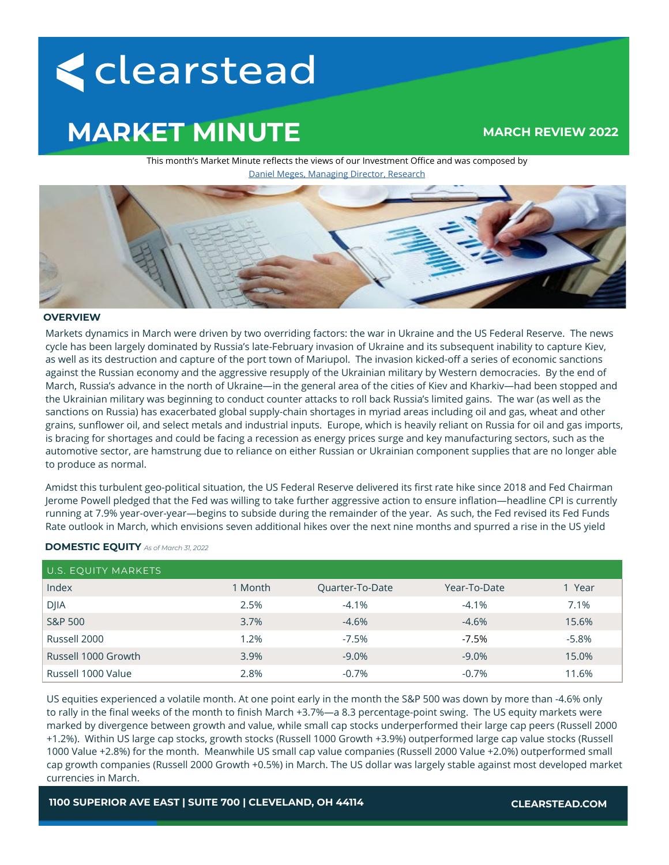# < clearstead

# **MARKET MINUTE**

# **MARCH REVIEW 2022**

This month's Market Minute reflects the views of our Investment Office and was composed by [Daniel Meges, Managing Director, Research](https://www.clearstead.com/daniel-meges/)



## **OVERVIEW**

Markets dynamics in March were driven by two overriding factors: the war in Ukraine and the US Federal Reserve. The news cycle has been largely dominated by Russia's late-February invasion of Ukraine and its subsequent inability to capture Kiev, as well as its destruction and capture of the port town of Mariupol. The invasion kicked-off a series of economic sanctions against the Russian economy and the aggressive resupply of the Ukrainian military by Western democracies. By the end of March, Russia's advance in the north of Ukraine—in the general area of the cities of Kiev and Kharkiv—had been stopped and the Ukrainian military was beginning to conduct counter attacks to roll back Russia's limited gains. The war (as well as the sanctions on Russia) has exacerbated global supply-chain shortages in myriad areas including oil and gas, wheat and other grains, sunflower oil, and select metals and industrial inputs. Europe, which is heavily reliant on Russia for oil and gas imports, is bracing for shortages and could be facing a recession as energy prices surge and key manufacturing sectors, such as the automotive sector, are hamstrung due to reliance on either Russian or Ukrainian component supplies that are no longer able to produce as normal.

Amidst this turbulent geo-political situation, the US Federal Reserve delivered its first rate hike since 2018 and Fed Chairman Jerome Powell pledged that the Fed was willing to take further aggressive action to ensure inflation—headline CPI is currently running at 7.9% year-over-year—begins to subside during the remainder of the year. As such, the Fed revised its Fed Funds Rate outlook in March, which envisions seven additional hikes over the next nine months and spurred a rise in the US yield

# **DOMESTIC EQUITY** *As of March 31, 2022*

| U.S. EQUITY MARKETS |         |                        |              |         |
|---------------------|---------|------------------------|--------------|---------|
| Index               | 1 Month | <b>Ouarter-To-Date</b> | Year-To-Date | 1 Year  |
| <b>DJIA</b>         | 2.5%    | $-4.1%$                | $-4.1\%$     | 7.1%    |
| <b>S&amp;P 500</b>  | 3.7%    | $-4.6%$                | $-4.6\%$     | 15.6%   |
| Russell 2000        | 1.2%    | $-7.5%$                | -7.5%        | $-5.8%$ |
| Russell 1000 Growth | 3.9%    | $-9.0\%$               | $-9.0\%$     | 15.0%   |
| Russell 1000 Value  | 2.8%    | $-0.7%$                | $-0.7\%$     | 11.6%   |

US equities experienced a volatile month. At one point early in the month the S&P 500 was down by more than -4.6% only to rally in the final weeks of the month to finish March +3.7%—a 8.3 percentage-point swing. The US equity markets were marked by divergence between growth and value, while small cap stocks underperformed their large cap peers (Russell 2000 +1.2%). Within US large cap stocks, growth stocks (Russell 1000 Growth +3.9%) outperformed large cap value stocks (Russell 1000 Value +2.8%) for the month. Meanwhile US small cap value companies (Russell 2000 Value +2.0%) outperformed small cap growth companies (Russell 2000 Growth +0.5%) in March. The US dollar was largely stable against most developed market currencies in March.

**1100 SUPERIOR AVE EAST | SUITE 700 | CLEVELAND, OH 44114 CLEARSTEAD.COM**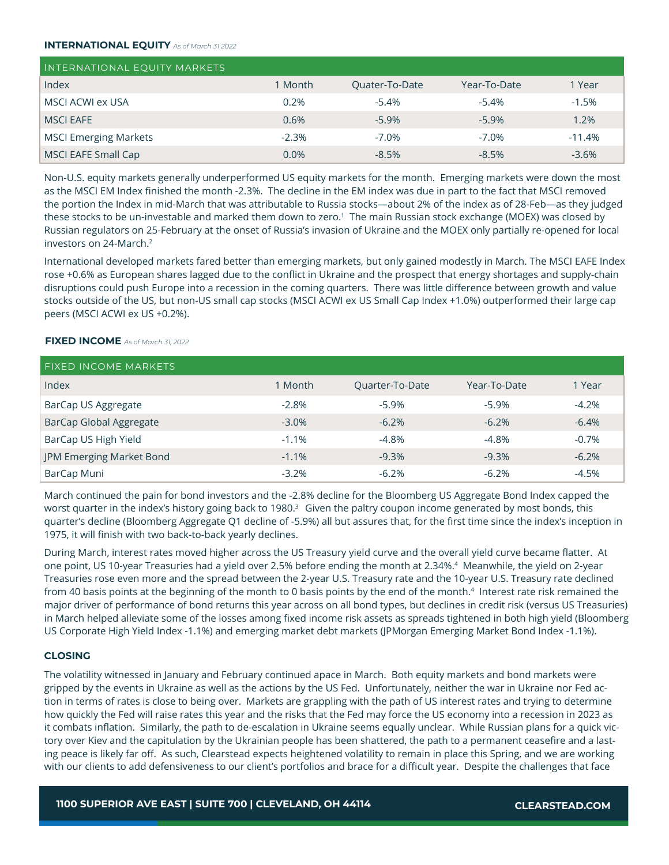## **INTERNATIONAL EQUITY** *As of March 31 2022*

| <b>INTERNATIONAL EQUITY MARKETS</b> |         |                |              |          |
|-------------------------------------|---------|----------------|--------------|----------|
| Index                               | 1 Month | Quater-To-Date | Year-To-Date | 1 Year   |
| MSCI ACWI ex USA                    | 0.2%    | $-5.4%$        | $-5.4\%$     | $-1.5%$  |
| <b>MSCI EAFE</b>                    | 0.6%    | $-5.9%$        | $-5.9\%$     | 1.2%     |
| <b>MSCI Emerging Markets</b>        | $-2.3%$ | $-7.0%$        | $-7.0\%$     | $-11.4%$ |
| MSCI EAFE Small Cap                 | $0.0\%$ | $-8.5%$        | $-8.5\%$     | $-3.6\%$ |

Non-U.S. equity markets generally underperformed US equity markets for the month. Emerging markets were down the most as the MSCI EM Index finished the month -2.3%. The decline in the EM index was due in part to the fact that MSCI removed the portion the Index in mid-March that was attributable to Russia stocks—about 2% of the index as of 28-Feb—as they judged these stocks to be un-investable and marked them down to zero.<sup>1</sup> The main Russian stock exchange (MOEX) was closed by Russian regulators on 25-February at the onset of Russia's invasion of Ukraine and the MOEX only partially re-opened for local investors on 24-March.<sup>2</sup>

International developed markets fared better than emerging markets, but only gained modestly in March. The MSCI EAFE Index rose +0.6% as European shares lagged due to the conflict in Ukraine and the prospect that energy shortages and supply-chain disruptions could push Europe into a recession in the coming quarters. There was little difference between growth and value stocks outside of the US, but non-US small cap stocks (MSCI ACWI ex US Small Cap Index +1.0%) outperformed their large cap peers (MSCI ACWI ex US +0.2%).

## **FIXED INCOME** *As of March 31, 2022*

| <b>FIXED INCOME MARKETS</b>    |         |                 |              |         |
|--------------------------------|---------|-----------------|--------------|---------|
| Index                          | 1 Month | Quarter-To-Date | Year-To-Date | 1 Year  |
| BarCap US Aggregate            | $-2.8%$ | $-5.9%$         | $-5.9%$      | $-4.2%$ |
| <b>BarCap Global Aggregate</b> | $-3.0%$ | $-6.2%$         | $-6.2%$      | $-6.4%$ |
| BarCap US High Yield           | $-1.1%$ | $-4.8%$         | $-4.8%$      | $-0.7%$ |
| JPM Emerging Market Bond       | $-1.1%$ | $-9.3%$         | $-9.3%$      | $-6.2%$ |
| BarCap Muni                    | $-3.2%$ | $-6.2%$         | $-6.2%$      | $-4.5%$ |

March continued the pain for bond investors and the -2.8% decline for the Bloomberg US Aggregate Bond Index capped the worst quarter in the index's history going back to 1980.<sup>3</sup> Given the paltry coupon income generated by most bonds, this quarter's decline (Bloomberg Aggregate Q1 decline of -5.9%) all but assures that, for the first time since the index's inception in 1975, it will finish with two back-to-back yearly declines.

During March, interest rates moved higher across the US Treasury yield curve and the overall yield curve became flatter. At one point, US 10-year Treasuries had a yield over 2.5% before ending the month at 2.34%.<sup>4</sup> Meanwhile, the yield on 2-year Treasuries rose even more and the spread between the 2-year U.S. Treasury rate and the 10-year U.S. Treasury rate declined from 40 basis points at the beginning of the month to 0 basis points by the end of the month.<sup>4</sup> Interest rate risk remained the major driver of performance of bond returns this year across on all bond types, but declines in credit risk (versus US Treasuries) in March helped alleviate some of the losses among fixed income risk assets as spreads tightened in both high yield (Bloomberg US Corporate High Yield Index -1.1%) and emerging market debt markets (JPMorgan Emerging Market Bond Index -1.1%).

# **CLOSING**

The volatility witnessed in January and February continued apace in March. Both equity markets and bond markets were gripped by the events in Ukraine as well as the actions by the US Fed. Unfortunately, neither the war in Ukraine nor Fed action in terms of rates is close to being over. Markets are grappling with the path of US interest rates and trying to determine how quickly the Fed will raise rates this year and the risks that the Fed may force the US economy into a recession in 2023 as it combats inflation. Similarly, the path to de-escalation in Ukraine seems equally unclear. While Russian plans for a quick victory over Kiev and the capitulation by the Ukrainian people has been shattered, the path to a permanent ceasefire and a lasting peace is likely far off. As such, Clearstead expects heightened volatility to remain in place this Spring, and we are working with our clients to add defensiveness to our client's portfolios and brace for a difficult year. Despite the challenges that face